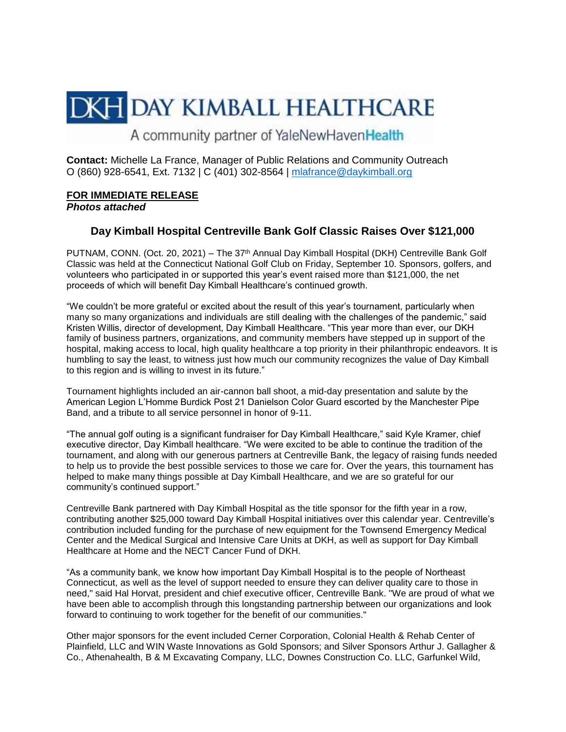# **DKH DAY KIMBALL HEALTHCARE**

A community partner of YaleNewHavenHealth

**Contact:** Michelle La France, Manager of Public Relations and Community Outreach O (860) 928-6541, Ext. 7132 | C (401) 302-8564 | [mlafrance@daykimball.org](mailto:mlafrance@daykimball.org)

## **FOR IMMEDIATE RELEASE**

### *Photos attached*

## **Day Kimball Hospital Centreville Bank Golf Classic Raises Over \$121,000**

PUTNAM, CONN. (Oct. 20, 2021) – The 37<sup>th</sup> Annual Day Kimball Hospital (DKH) Centreville Bank Golf Classic was held at the Connecticut National Golf Club on Friday, September 10. Sponsors, golfers, and volunteers who participated in or supported this year's event raised more than \$121,000, the net proceeds of which will benefit Day Kimball Healthcare's continued growth.

"We couldn't be more grateful or excited about the result of this year's tournament, particularly when many so many organizations and individuals are still dealing with the challenges of the pandemic," said Kristen Willis, director of development, Day Kimball Healthcare. "This year more than ever, our DKH family of business partners, organizations, and community members have stepped up in support of the hospital, making access to local, high quality healthcare a top priority in their philanthropic endeavors. It is humbling to say the least, to witness just how much our community recognizes the value of Day Kimball to this region and is willing to invest in its future."

Tournament highlights included an air-cannon ball shoot, a mid-day presentation and salute by the American Legion L'Homme Burdick Post 21 Danielson Color Guard escorted by the Manchester Pipe Band, and a tribute to all service personnel in honor of 9-11.

"The annual golf outing is a significant fundraiser for Day Kimball Healthcare," said Kyle Kramer, chief executive director, Day Kimball healthcare. "We were excited to be able to continue the tradition of the tournament, and along with our generous partners at Centreville Bank, the legacy of raising funds needed to help us to provide the best possible services to those we care for. Over the years, this tournament has helped to make many things possible at Day Kimball Healthcare, and we are so grateful for our community's continued support."

Centreville Bank partnered with Day Kimball Hospital as the title sponsor for the fifth year in a row, contributing another \$25,000 toward Day Kimball Hospital initiatives over this calendar year. Centreville's contribution included funding for the purchase of new equipment for the Townsend Emergency Medical Center and the Medical Surgical and Intensive Care Units at DKH, as well as support for Day Kimball Healthcare at Home and the NECT Cancer Fund of DKH.

"As a community bank, we know how important Day Kimball Hospital is to the people of Northeast Connecticut, as well as the level of support needed to ensure they can deliver quality care to those in need," said Hal Horvat, president and chief executive officer, Centreville Bank. "We are proud of what we have been able to accomplish through this longstanding partnership between our organizations and look forward to continuing to work together for the benefit of our communities."

Other major sponsors for the event included Cerner Corporation, Colonial Health & Rehab Center of Plainfield, LLC and WIN Waste Innovations as Gold Sponsors; and Silver Sponsors Arthur J. Gallagher & Co., Athenahealth, B & M Excavating Company, LLC, Downes Construction Co. LLC, Garfunkel Wild,